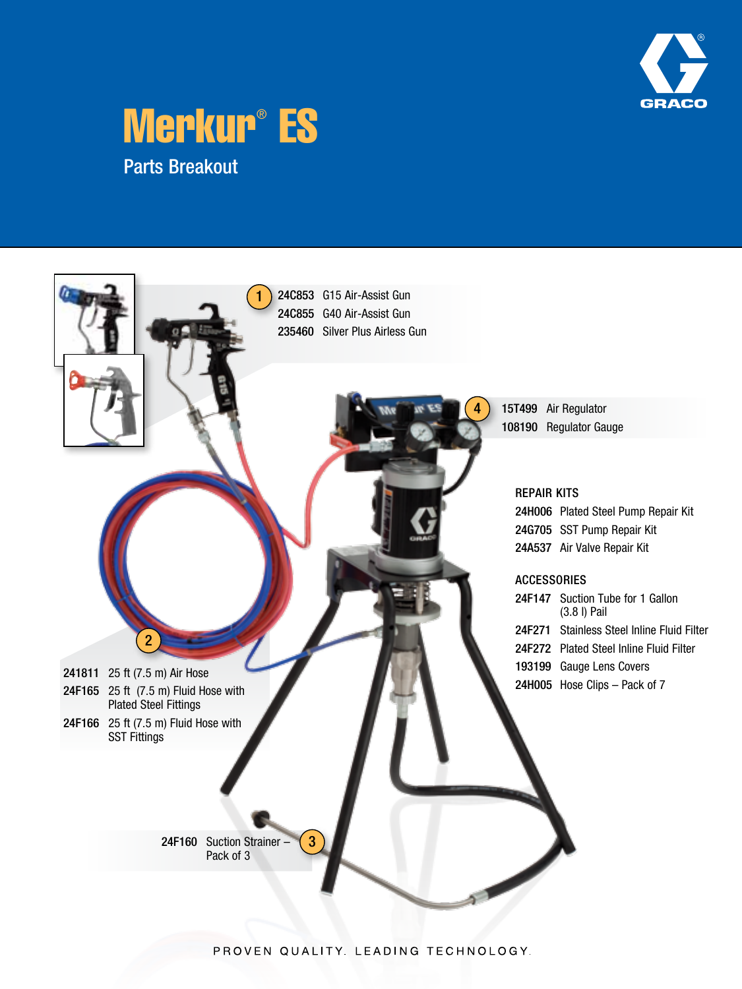





PROVEN QUALITY. LEADING TECHNOLOGY.